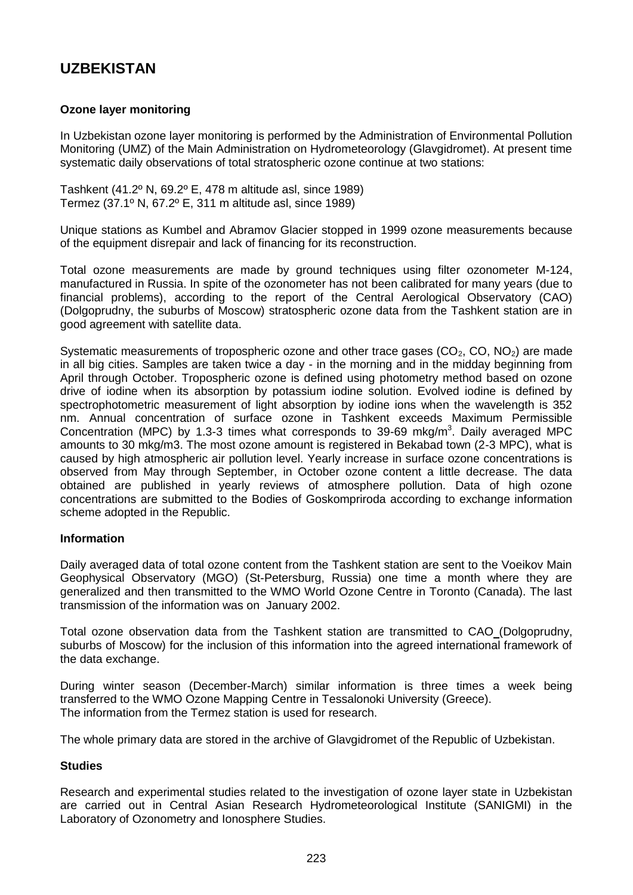# **UZBEKISTAN**

## **Ozone layer monitoring**

In Uzbekistan ozone layer monitoring is performed by the Administration of Environmental Pollution Monitoring (UMZ) of the Main Administration on Hydrometeorology (Glavgidromet). At present time systematic daily observations of total stratospheric ozone continue at two stations:

Tashkent (41.2º N, 69.2º E, 478 m altitude asl, since 1989) Termez (37.1º N, 67.2º E, 311 m altitude asl, since 1989)

Unique stations as Kumbel and Abramov Glacier stopped in 1999 ozone measurements because of the equipment disrepair and lack of financing for its reconstruction.

Total ozone measurements are made by ground techniques using filter ozonometer M-124, manufactured in Russia. In spite of the ozonometer has not been calibrated for many years (due to financial problems), according to the report of the Central Aerological Observatory (CAO) (Dolgoprudny, the suburbs of Moscow) stratospheric ozone data from the Tashkent station are in good agreement with satellite data.

Systematic measurements of tropospheric ozone and other trace gases  $(CO<sub>2</sub>, CO, NO<sub>2</sub>)$  are made in all big cities. Samples are taken twice a day - in the morning and in the midday beginning from April through October. Tropospheric ozone is defined using photometry method based on ozone drive of iodine when its absorption by potassium iodine solution. Evolved iodine is defined by spectrophotometric measurement of light absorption by iodine ions when the wavelength is 352 nm. Annual concentration of surface ozone in Tashkent exceeds Maximum Permissible Concentration (MPC) by 1.3-3 times what corresponds to 39-69 mkg/m<sup>3</sup>. Daily averaged MPC amounts to 30 mkg/m3. The most ozone amount is registered in Bekabad town (2-3 MPC), what is caused by high atmospheric air pollution level. Yearly increase in surface ozone concentrations is observed from May through September, in October ozone content a little decrease. The data obtained are published in yearly reviews of atmosphere pollution. Data of high ozone concentrations are submitted to the Bodies of Goskompriroda according to exchange information scheme adopted in the Republic.

### **Information**

Daily averaged data of total ozone content from the Tashkent station are sent to the Voeikov Main Geophysical Observatory (MGO) (St-Petersburg, Russia) one time a month where they are generalized and then transmitted to the WMO World Ozone Centre in Toronto (Canada). The last transmission of the information was on January 2002.

Total ozone observation data from the Tashkent station are transmitted to CAO (Dolgoprudny, suburbs of Moscow) for the inclusion of this information into the agreed international framework of the data exchange.

During winter season (December-March) similar information is three times a week being transferred to the WMO Ozone Mapping Centre in Tessalonoki University (Greece). The information from the Termez station is used for research.

The whole primary data are stored in the archive of Glavgidromet of the Republic of Uzbekistan.

### **Studies**

Research and experimental studies related to the investigation of ozone layer state in Uzbekistan are carried out in Central Asian Research Hydrometeorological Institute (SANIGMI) in the Laboratory of Ozonometry and Ionosphere Studies.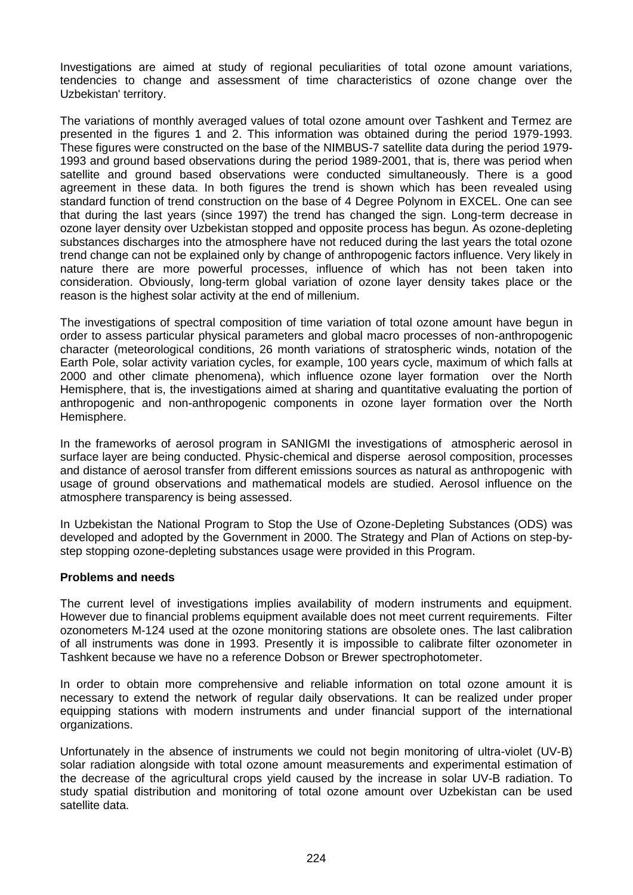Investigations are aimed at study of regional peculiarities of total ozone amount variations, tendencies to change and assessment of time characteristics of ozone change over the Uzbekistan' territory.

The variations of monthly averaged values of total ozone amount over Tashkent and Termez are presented in the figures 1 and 2. This information was obtained during the period 1979-1993. These figures were constructed on the base of the NIMBUS-7 satellite data during the period 1979- 1993 and ground based observations during the period 1989-2001, that is, there was period when satellite and ground based observations were conducted simultaneously. There is a good agreement in these data. In both figures the trend is shown which has been revealed using standard function of trend construction on the base of 4 Degree Polynom in EXCEL. One can see that during the last years (since 1997) the trend has changed the sign. Long-term decrease in ozone layer density over Uzbekistan stopped and opposite process has begun. As ozone-depleting substances discharges into the atmosphere have not reduced during the last years the total ozone trend change can not be explained only by change of anthropogenic factors influence. Very likely in nature there are more powerful processes, influence of which has not been taken into consideration. Obviously, long-term global variation of ozone layer density takes place or the reason is the highest solar activity at the end of millenium.

The investigations of spectral composition of time variation of total ozone amount have begun in order to assess particular physical parameters and global macro processes of non-anthropogenic character (meteorological conditions, 26 month variations of stratospheric winds, notation of the Earth Pole, solar activity variation cycles, for example, 100 years cycle, maximum of which falls at 2000 and other climate phenomena), which influence ozone layer formation over the North Hemisphere, that is, the investigations aimed at sharing and quantitative evaluating the portion of anthropogenic and non-anthropogenic components in ozone layer formation over the North Hemisphere.

In the frameworks of aerosol program in SANIGMI the investigations of atmospheric aerosol in surface layer are being conducted. Physic-chemical and disperse aerosol composition, processes and distance of aerosol transfer from different emissions sources as natural as anthropogenic with usage of ground observations and mathematical models are studied. Aerosol influence on the atmosphere transparency is being assessed.

In Uzbekistan the National Program to Stop the Use of Ozone-Depleting Substances (ODS) was developed and adopted by the Government in 2000. The Strategy and Plan of Actions on step-bystep stopping ozone-depleting substances usage were provided in this Program.

### **Problems and needs**

The current level of investigations implies availability of modern instruments and equipment. However due to financial problems equipment available does not meet current requirements. Filter ozonometers M-124 used at the ozone monitoring stations are obsolete ones. The last calibration of all instruments was done in 1993. Presently it is impossible to calibrate filter ozonometer in Tashkent because we have no a reference Dobson or Brewer spectrophotometer.

In order to obtain more comprehensive and reliable information on total ozone amount it is necessary to extend the network of regular daily observations. It can be realized under proper equipping stations with modern instruments and under financial support of the international organizations.

Unfortunately in the absence of instruments we could not begin monitoring of ultra-violet (UV-B) solar radiation alongside with total ozone amount measurements and experimental estimation of the decrease of the agricultural crops yield caused by the increase in solar UV-B radiation. To study spatial distribution and monitoring of total ozone amount over Uzbekistan can be used satellite data.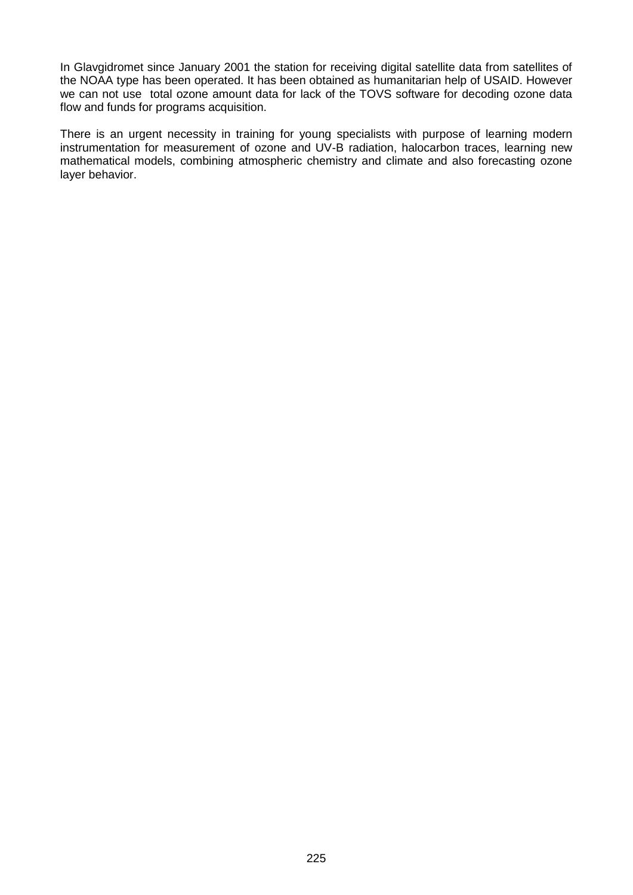In Glavgidromet since January 2001 the station for receiving digital satellite data from satellites of the NOAA type has been operated. It has been obtained as humanitarian help of USAID. However we can not use total ozone amount data for lack of the TOVS software for decoding ozone data flow and funds for programs acquisition.

There is an urgent necessity in training for young specialists with purpose of learning modern instrumentation for measurement of ozone and UV-B radiation, halocarbon traces, learning new mathematical models, combining atmospheric chemistry and climate and also forecasting ozone layer behavior.